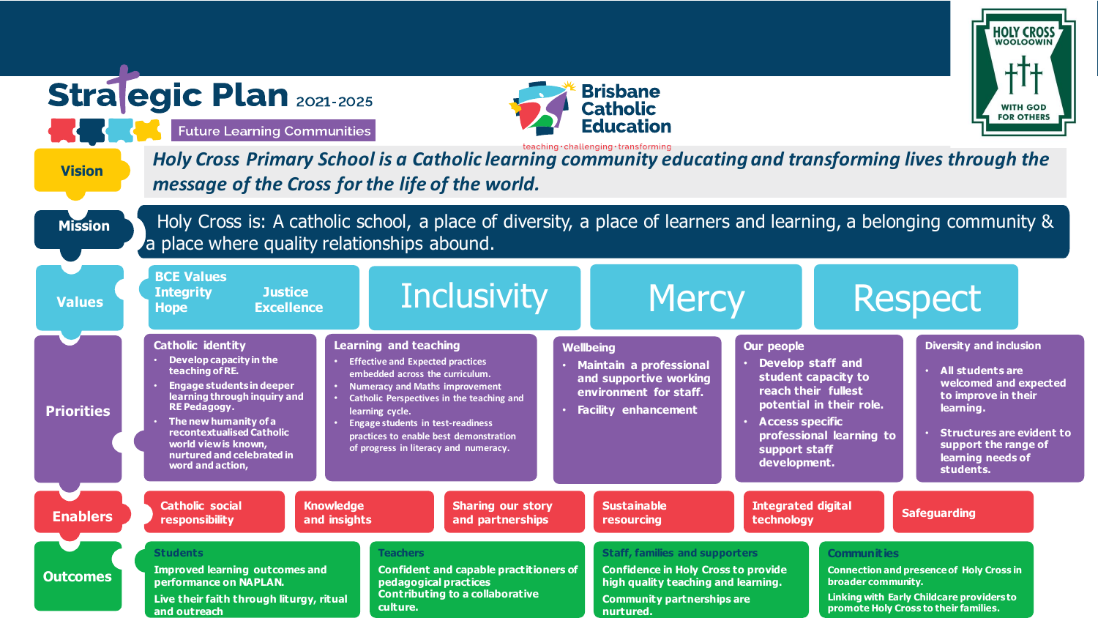|                                                                                                                                                                                                                  | <b>Stra egic Plan 2021-2025</b><br><b>Future Learning Communities</b>                                                                                                                                                                                                                                     |                                  |                                                                                                                                                                                                                                                             |                                                                                         |                  | <b>Brisbane</b><br><b>Catholic</b><br><b>Education</b>                                                                                                                       |                                                                                                                     |                                                                                                                                                                                  | <b>HOLY CROSS</b><br><b>WITH GOD</b><br><b>FOR OTHERS</b>                                                                                                                                                            |  |
|------------------------------------------------------------------------------------------------------------------------------------------------------------------------------------------------------------------|-----------------------------------------------------------------------------------------------------------------------------------------------------------------------------------------------------------------------------------------------------------------------------------------------------------|----------------------------------|-------------------------------------------------------------------------------------------------------------------------------------------------------------------------------------------------------------------------------------------------------------|-----------------------------------------------------------------------------------------|------------------|------------------------------------------------------------------------------------------------------------------------------------------------------------------------------|---------------------------------------------------------------------------------------------------------------------|----------------------------------------------------------------------------------------------------------------------------------------------------------------------------------|----------------------------------------------------------------------------------------------------------------------------------------------------------------------------------------------------------------------|--|
| teaching·challenging·transforming<br>Holy Cross Primary School is a Catholic learning community educating and transforming lives through the<br><b>Vision</b><br>message of the Cross for the life of the world. |                                                                                                                                                                                                                                                                                                           |                                  |                                                                                                                                                                                                                                                             |                                                                                         |                  |                                                                                                                                                                              |                                                                                                                     |                                                                                                                                                                                  |                                                                                                                                                                                                                      |  |
| <b>Mission</b>                                                                                                                                                                                                   | Holy Cross is: A catholic school, a place of diversity, a place of learners and learning, a belonging community &<br>a place where quality relationships abound.                                                                                                                                          |                                  |                                                                                                                                                                                                                                                             |                                                                                         |                  |                                                                                                                                                                              |                                                                                                                     |                                                                                                                                                                                  |                                                                                                                                                                                                                      |  |
| <b>Values</b>                                                                                                                                                                                                    | <b>BCE Values</b><br>Inclusivity<br><b>Mercy</b><br><b>Justice</b><br><b>Integrity</b><br><b>Excellence</b><br><b>Hope</b>                                                                                                                                                                                |                                  |                                                                                                                                                                                                                                                             |                                                                                         |                  |                                                                                                                                                                              |                                                                                                                     |                                                                                                                                                                                  | <b>Respect</b>                                                                                                                                                                                                       |  |
| <b>Priorities</b>                                                                                                                                                                                                | <b>Catholic identity</b><br>Develop capacity in the<br>teaching of RE.<br><b>Engage students in deeper</b><br>learning through inquiry and<br><b>RE Pedagogy.</b><br>$\cdot$ The new humanity of a<br>recontextualised Catholic<br>world view is known,<br>nurtured and celebrated in<br>word and action, |                                  | <b>Learning and teaching</b><br><b>Effective and Expected practices</b><br>embedded across the curriculum.<br><b>Numeracy and Maths improvement</b><br>learning cycle.<br><b>Engage students in test-readiness</b><br>of progress in literacy and numeracy. | Catholic Perspectives in the teaching and<br>practices to enable best demonstration     | <b>Wellbeing</b> | <b>Maintain a professional</b><br>and supportive working<br>environment for staff.<br><b>Facility enhancement</b>                                                            | <b>Our people</b><br>Develop staff and<br>reach their fullest<br>· Access specific<br>support staff<br>development. | student capacity to<br>potential in their role.<br>professional learning to                                                                                                      | <b>Diversity and inclusion</b><br><b>All students are</b><br>welcomed and expected<br>to improve in their<br>learning.<br><b>Structures are evident to</b><br>support the range of<br>learning needs of<br>students. |  |
| <b>Enablers</b>                                                                                                                                                                                                  | <b>Catholic social</b><br>responsibility                                                                                                                                                                                                                                                                  | <b>Knowledge</b><br>and insights |                                                                                                                                                                                                                                                             | <b>Sharing our story</b><br>and partnerships                                            |                  | <b>Sustainable</b><br>resourcing                                                                                                                                             | <b>Integrated digital</b><br>technology                                                                             |                                                                                                                                                                                  | <b>Safeguarding</b>                                                                                                                                                                                                  |  |
| <b>Outcomes</b>                                                                                                                                                                                                  | <b>Students</b><br><b>Improved learning outcomes and</b><br>performance on NAPLAN.<br>Live their faith through liturgy, ritual<br>and outreach                                                                                                                                                            |                                  | <b>Teachers</b><br>pedagogical practices<br>culture.                                                                                                                                                                                                        | <b>Confident and capable practitioners of</b><br><b>Contributing to a collaborative</b> |                  | <b>Staff, families and supporters</b><br><b>Confidence in Holy Cross to provide</b><br>high quality teaching and learning.<br><b>Community partnerships are</b><br>nurtured. |                                                                                                                     | <b>Communities</b><br><b>Connection and presence of Holy Cross in</b><br>broader community.<br>Linking with Early Childcare providersto<br>promote Holy Cross to their families. |                                                                                                                                                                                                                      |  |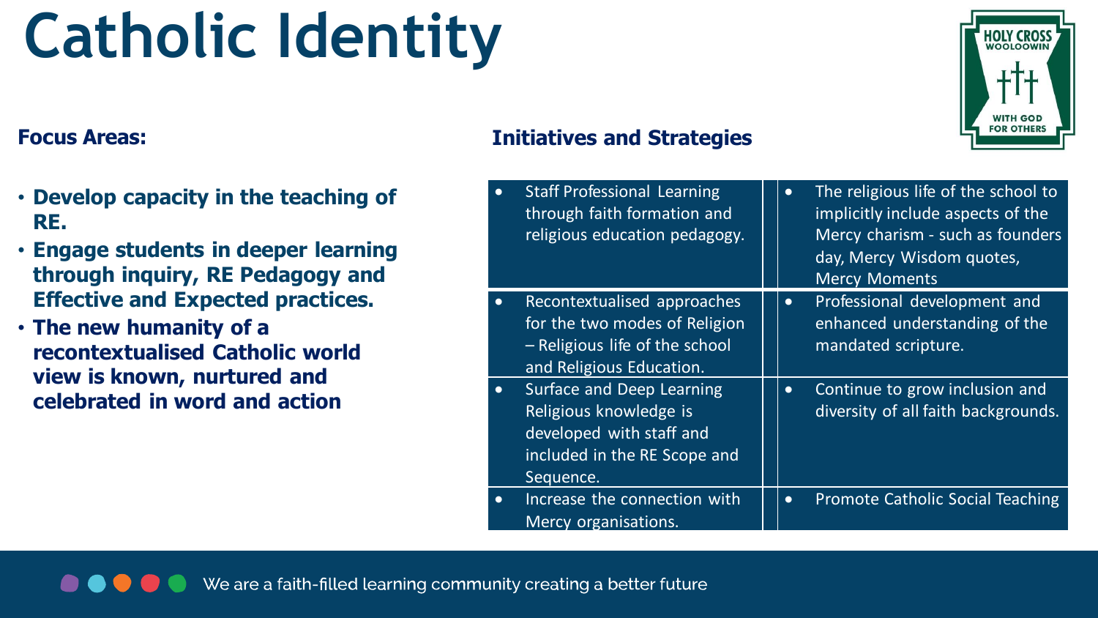### **Catholic Identity**

- **Develop capacity in the teaching of RE.**
- **Engage students in deeper learning through inquiry, RE Pedagogy and Effective and Expected practices.**
- **The new humanity of a recontextualised Catholic world view is known, nurtured and celebrated in word and action**

### **Focus Areas: Initiatives and Strategies**

|           | <b>Staff Professional Learning</b><br>through faith formation and<br>religious education pedagogy.                           | $\bullet$ | The religious life of the school to<br>implicitly include aspects of the<br>Mercy charism - such as founders<br>day, Mercy Wisdom quotes,<br><b>Mercy Moments</b> |
|-----------|------------------------------------------------------------------------------------------------------------------------------|-----------|-------------------------------------------------------------------------------------------------------------------------------------------------------------------|
|           | Recontextualised approaches<br>for the two modes of Religion<br>- Religious life of the school<br>and Religious Education.   | $\bullet$ | Professional development and<br>enhanced understanding of the<br>mandated scripture.                                                                              |
| $\bullet$ | Surface and Deep Learning<br>Religious knowledge is<br>developed with staff and<br>included in the RE Scope and<br>Sequence. | $\bullet$ | Continue to grow inclusion and<br>diversity of all faith backgrounds.                                                                                             |
| $\bullet$ | Increase the connection with<br>Mercy organisations.                                                                         | $\bullet$ | <b>Promote Catholic Social Teaching</b>                                                                                                                           |

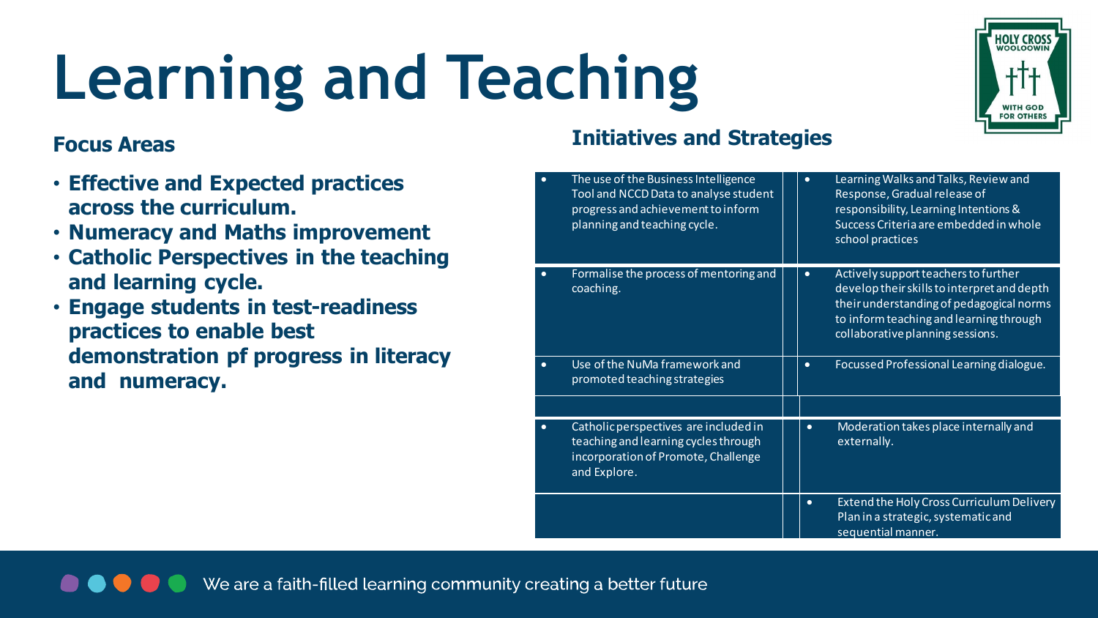# **Learning and Teaching**

#### **Focus Areas**

- **Effective and Expected practices across the curriculum.**
- **Numeracy and Maths improvement**
- **Catholic Perspectives in the teaching and learning cycle.**
- **Engage students in test-readiness practices to enable best demonstration pf progress in literacy and numeracy.**

#### **Initiatives and Strategies**

| $\bullet$ | The use of the Business Intelligence<br>Tool and NCCD Data to analyse student<br>progress and achievement to inform<br>planning and teaching cycle. | $\bullet$ | Learning Walks and Talks, Review and<br>Response, Gradual release of<br>responsibility, Learning Intentions &<br>Success Criteria are embedded in whole<br>school practices                                    |
|-----------|-----------------------------------------------------------------------------------------------------------------------------------------------------|-----------|----------------------------------------------------------------------------------------------------------------------------------------------------------------------------------------------------------------|
|           | Formalise the process of mentoring and<br>coaching.                                                                                                 | $\bullet$ | Actively support teachers to further<br>develop their skills to interpret and depth<br>their understanding of pedagogical norms<br>to inform teaching and learning through<br>collaborative planning sessions. |
| $\bullet$ | Use of the NuMa framework and<br>promoted teaching strategies                                                                                       | $\bullet$ | Focussed Professional Learning dialogue.                                                                                                                                                                       |
|           |                                                                                                                                                     |           |                                                                                                                                                                                                                |
|           | Catholic perspectives are included in<br>teaching and learning cycles through<br>incorporation of Promote, Challenge<br>and Explore.                | $\bullet$ | Moderation takes place internally and<br>externally.                                                                                                                                                           |
|           |                                                                                                                                                     | $\bullet$ | Extend the Holy Cross Curriculum Delivery<br>Plan in a strategic, systematic and<br>sequential manner.                                                                                                         |



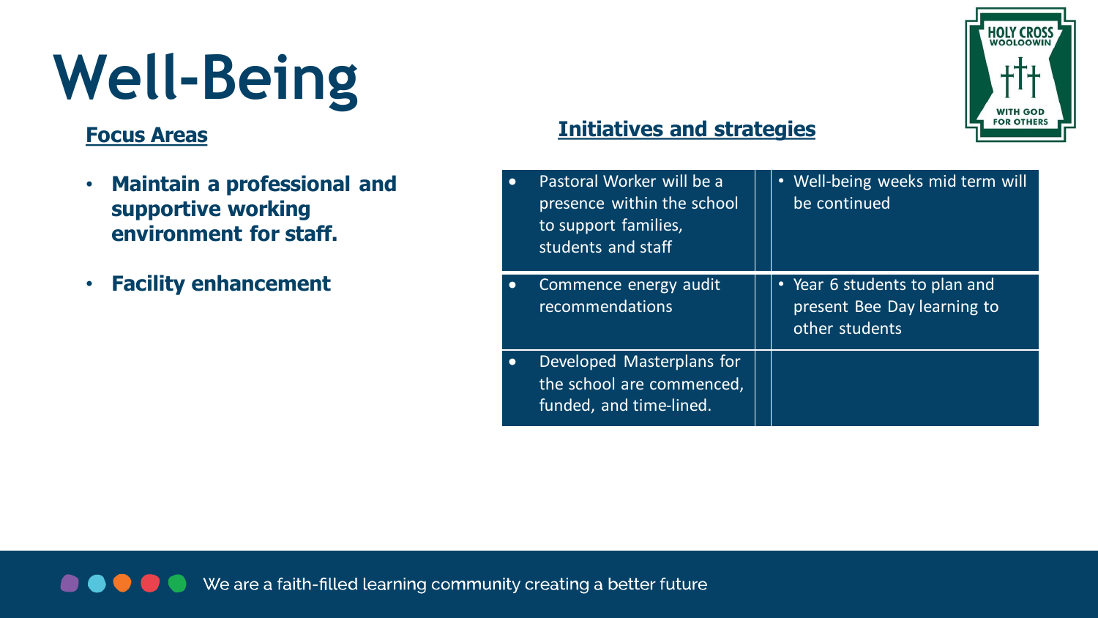### **Well-Being**

#### **Focus Areas**

- **Maintain a professional and supportive working environment for staff.**
- **Facility enhancement**

#### **Initiatives and strategies**

| Pastoral Worker will be a<br>presence within the school<br>to support families,<br>students and staff | • Well-being weeks mid term will<br>be continued                               |
|-------------------------------------------------------------------------------------------------------|--------------------------------------------------------------------------------|
| Commence energy audit<br>recommendations                                                              | • Year 6 students to plan and<br>present Bee Day learning to<br>other students |
| Developed Masterplans for<br>the school are commenced,<br>funded, and time-lined.                     |                                                                                |

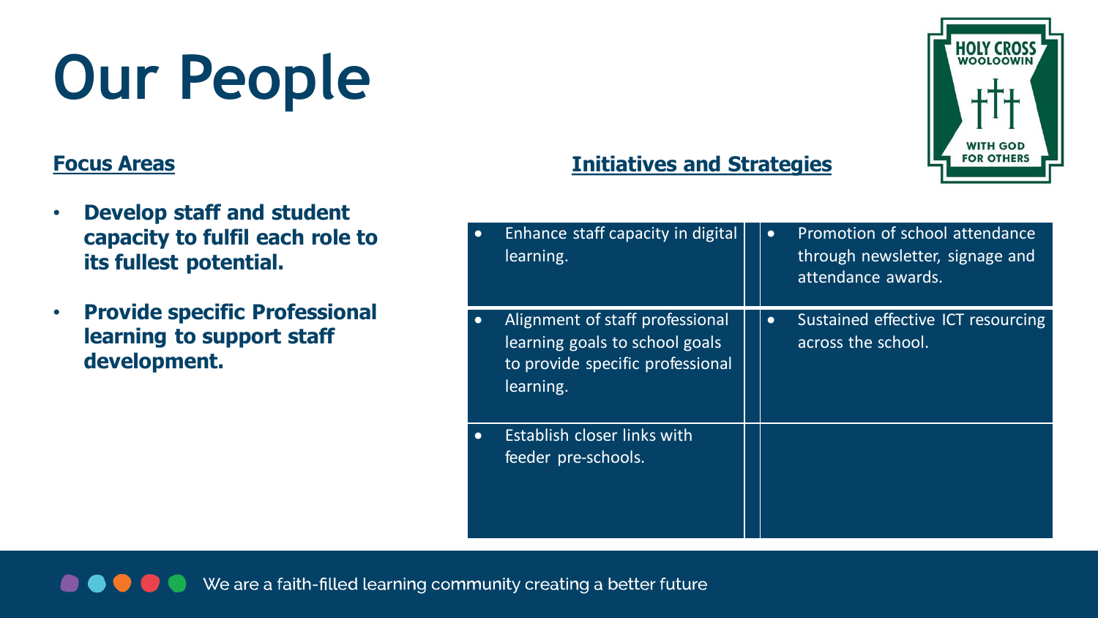### **Our People**

#### **Focus Areas**

- **Develop staff and student capacity to fulfil each role to its fullest potential.**
- **Provide specific Professional learning to support staff development.**

#### **Initiatives and Strategies**

| $\bullet$ | Enhance staff capacity in digital<br>learning.                                                                     | $\bullet$ | Promotion of school attendance<br>through newsletter, signage and<br>attendance awards. |
|-----------|--------------------------------------------------------------------------------------------------------------------|-----------|-----------------------------------------------------------------------------------------|
|           | Alignment of staff professional<br>learning goals to school goals<br>to provide specific professional<br>learning. | $\bullet$ | Sustained effective ICT resourcing<br>across the school.                                |
|           | <b>Establish closer links with</b><br>feeder pre-schools.                                                          |           |                                                                                         |

We are a faith-filled learning community creating a better future